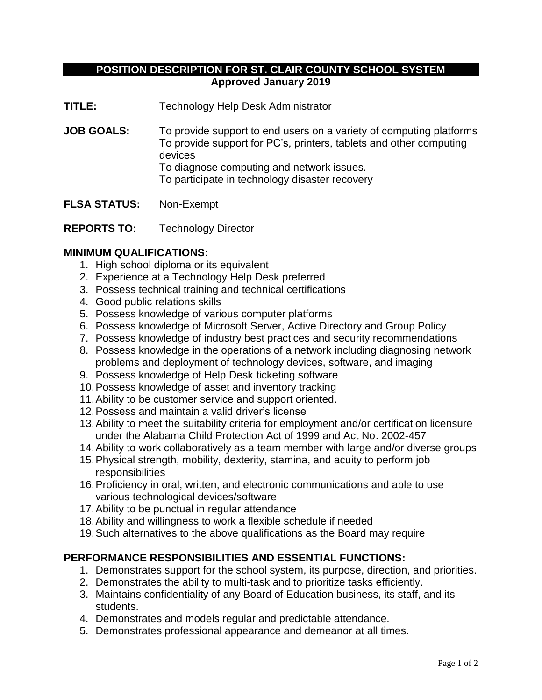# **POSITION DESCRIPTION FOR ST. CLAIR COUNTY SCHOOL SYSTEM Approved January 2019**

**TITLE:** Technology Help Desk Administrator

**JOB GOALS:** To provide support to end users on a variety of computing platforms To provide support for PC's, printers, tablets and other computing devices To diagnose computing and network issues. To participate in technology disaster recovery

**FLSA STATUS:** Non-Exempt

**REPORTS TO:** Technology Director

### **MINIMUM QUALIFICATIONS:**

- 1. High school diploma or its equivalent
- 2. Experience at a Technology Help Desk preferred
- 3. Possess technical training and technical certifications
- 4. Good public relations skills
- 5. Possess knowledge of various computer platforms
- 6. Possess knowledge of Microsoft Server, Active Directory and Group Policy
- 7. Possess knowledge of industry best practices and security recommendations
- 8. Possess knowledge in the operations of a network including diagnosing network problems and deployment of technology devices, software, and imaging
- 9. Possess knowledge of Help Desk ticketing software
- 10.Possess knowledge of asset and inventory tracking
- 11.Ability to be customer service and support oriented.
- 12.Possess and maintain a valid driver's license
- 13.Ability to meet the suitability criteria for employment and/or certification licensure under the Alabama Child Protection Act of 1999 and Act No. 2002-457
- 14.Ability to work collaboratively as a team member with large and/or diverse groups
- 15.Physical strength, mobility, dexterity, stamina, and acuity to perform job responsibilities
- 16.Proficiency in oral, written, and electronic communications and able to use various technological devices/software
- 17.Ability to be punctual in regular attendance
- 18.Ability and willingness to work a flexible schedule if needed
- 19.Such alternatives to the above qualifications as the Board may require

## **PERFORMANCE RESPONSIBILITIES AND ESSENTIAL FUNCTIONS:**

- 1. Demonstrates support for the school system, its purpose, direction, and priorities.
- 2. Demonstrates the ability to multi-task and to prioritize tasks efficiently.
- 3. Maintains confidentiality of any Board of Education business, its staff, and its students.
- 4. Demonstrates and models regular and predictable attendance.
- 5. Demonstrates professional appearance and demeanor at all times.